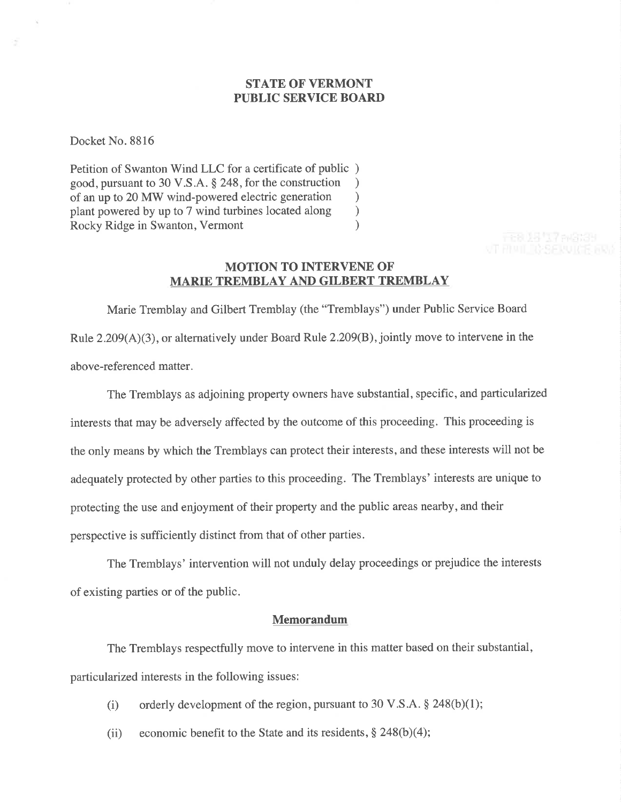# STATE OF VERMONT PUBLIC SERVICE BOARD

Docket No. 8816

Petition of Swanton Wind LLC for a certificate of public ) good, pursuant to 30 V.S.A. \$ 248, for the construction ) of an up to 20 MW wind-powered electric generation<br>plant powered by up to 7 wind turbines located along plant powered by up to 7 wind turbines located along <br>
Rocky Ridge in Swanton, Vermont (1) Rocky Ridge in Swanton, Vermont )

## MOTION TO INTERVENE OF MARIE TREMBLAY AND GILBERT TREMBLAY

Marie Tremblay and Gilbert Tremblay (the "Tremblays") under Public Service Board Rule  $2.209(A)(3)$ , or alternatively under Board Rule  $2.209(B)$ , jointly move to intervene in the above-referenced matter.

The Tremblays as adjoining property owners have substantial, specific, and particularized interests that may be adversely affected by the outcome of this proceeding. This proceeding is the only means by which the Tremblays can protect their interests, and these interests will not be adequately protected by other parties to this proceeding. The Tremblays' interests are unique to protecting the use and enjoyment of their property and the public areas nearby, and their perspective is sufficiently distinct from that of other parties.

The Tremblays' intervention will not unduly delay proceedings or prejudice the interests of existing parties or of the public.

### Memorandum

The Tremblays respectfully move to intervene in this matter based on their substantial, particularized interests in the following issues:

- (i) orderly development of the region, pursuant to 30 V.S.A.  $\S$  248(b)(1);
- (ii) economic benefit to the State and its residents,  $\S 248(b)(4)$ ;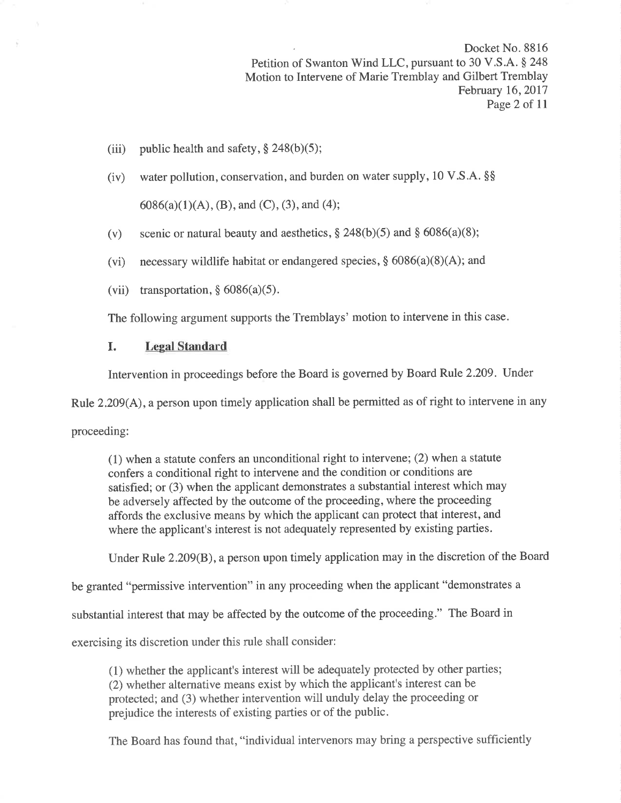Docket No. 8816 Petition of Swanton Wind LLC, pursuant to 30 V.S.A. § 248 Motion to Intervene of Marie Tremblay and Gilbert Tremblay February 16, 2017 Page 2 of 11

- (iii) public health and safety,  $\S 248(b)(5)$ ;
- (iv) water pollution, conservation, and burden on water supply, l0 V.S.A. \$\$  $6086(a)(1)(A), (B),$  and  $(C), (3),$  and  $(4);$
- (v) scenic or natural beauty and aesthetics,  $\S 248(b)(5)$  and  $\S 6086(a)(8)$ ;
- (vi) necessary wildlife habitat or endangered species,  $\S$  6086(a)(8)(A); and
- (vii) transportation,  $§ 6086(a)(5)$ .

The following argument supports the Tremblays' motion to intervene in this case.

## I. Legal Standard

Intervention in proceedings before the Board is governed by Board Rule 2.209. Under

Rule 2.209(A), a person upon timely application shall be permitted as of right to intervene in any

proceeding:

(1) when a statute confers an unconditional right to intervene; (2) when a statute confers a conditional right to intervene and the condition or conditions are satisfied; or (3) when the applicant demonstrates a substantial interest which may be adversely affected by the outcome of the proceeding, where the proceeding affords the exclusive means by which the applicant can protect that interest, and where the applicant's interest is not adequately represented by existing parties.

Under Rule 2.209(B), a person upon timely application may in the discretion of the Board

be granted "permissive intervention" in any proceeding when the applicant "demonstrates a

substantial interest that may be affected by the outcome of the proceeding." The Board in

exercising its discretion under this rule shall consider:

(1) whether the applicant's interest will be adequately protected by other parties; (2) whether alternative means exist by which the applicant's interest can be protected; and (3) whether intervention will unduly delay the proceeding or prejudice the interests of existing parties or of the public.

The Board has found that, "individual intervenors may bring a perspective sufficiently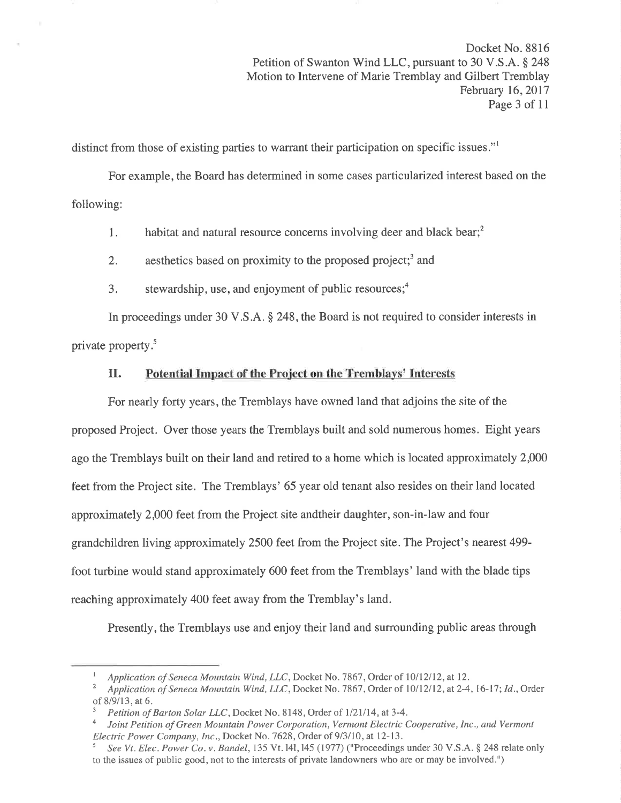Docket No. 8816 Petition of Swanton Wind LLC, pursuant to 30 V.S.A. \$ 248 Motion to Intervene of Marie Tremblay and Gilbert Tremblay February 16,2017 Page 3 of 11

distinct from those of existing parties to warrant their participation on specific issues."l

For example, the Board has determined in some cases particularized interest based on the following:

1. habitat and natural resource concerns involving deer and black bear; $<sup>2</sup>$ </sup>

- 2. aesthetics based on proximity to the proposed project;<sup>3</sup> and
- 3. stewardship, use, and enjoyment of public resources; $<sup>4</sup>$ </sup>

In proceedings under 30 V.S.A. \$ 248, the Board is not required to consider interests in private property.<sup>5</sup>

#### II. Potential Impact of the Project on the Tremblays' Interests

For nearly forty years, the Tremblays have owned land that adjoins the site of the proposed Project. Over those years the Tremblays built and sold numerous homes. Eight years ago the Tremblays built on their land and retired to a home which is located approximately 2000 feet from the Project site. The Tremblays' 65 year old tenant also resides on their land located approximately 2,000 feet from the Project site andtheir daughter, son-in-law and four grandchildren living approximately 2500 feet from the Project site. The Project's nearcst 499 foot turbine would stand approximately 600 feet from the Tremblays' land with the blade tips reaching approximately 400 feet away from the Tremblay's land.

Presently, the Tremblays use and enjoy their land and surrounding public areas through

*I* Application of Seneca Mountain Wind, LLC, Docket No. 7867, Order of 10/12/12, at 12.<br><sup>2</sup> Application of Seneca Mountain Wind, LLC, Docket No. 7867, Order of 10/12/12, at 2-4, 16-17; Id., Order of 8/9/13, at 6.  $\frac{3}{P}$  Petition of Barton Solar LLC, Docket No. 8148, Order of 1/21/14, at 3-4.

Joint Petition of Green Mountain Power Corporation, Vermont Electric Cooperative, Inc., and Vermont Electric Power Company, Inc., Docket No. 7628, Order of 9/3/10, at 12-13.<br><sup>5</sup> See Vt. Elec. Power Co. v. Bandel, 135 Vt. 141, 145 (1977) ("Proceedings under 30 V.S.A. § 248 relate only

to the issues of public good, not to the interests of private landowners who are or may be involved.")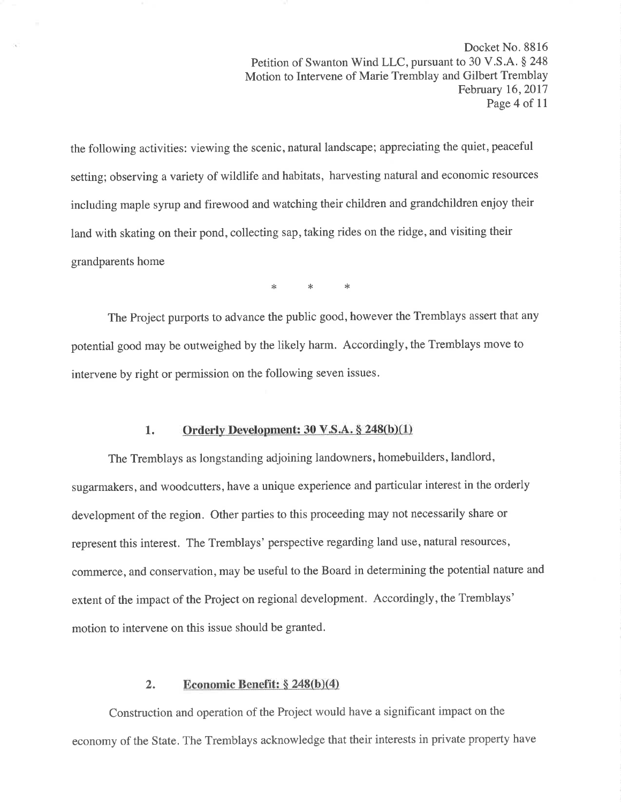Docket No. 8816 Petition of Swanton Wind LLC, pursuant to 30 V.S.A. § 248 Motion to Intervene of Marie Tremblay and Gilbert Tremblay February 16, 2017 Page 4 of 11

the following activities: viewing the scenic, natural landscape; appreciating the quiet, peaceful setting; observing a variety of wildlife and habitats, harvesting natural and economic resources including maple syrup and firewood and watching their children and grandchildren enjoy their land with skating on their pond, collecting sap, taking rides on the ridge, and visiting their grandparents home

\* \*< \*

The Project purports to advance the public good, however the Tremblays assert that any potential good may be outweighed by the likely harm. Accordingly, the Tremblays move to intervene by right or permission on the following seven issues.

## 1. Orderly Development:  $30 \text{ V.S.A.} \S$  248(b)(1)

The Tremblays as longstanding adjoining landowners, homebuilders, landlord, sugarmakers, and woodcutters, have a unique experience and particular interest in the orderly development of the region. Other parties to this proceeding may not necessarily share or represent this interest. The Tremblays' perspective regarding land use, natural resources, commerce, and conservation, may be useful to the Board in determining the potential nature and extent of the impact of the Project on regional development. Accordingly, the Tremblays' motion to intervene on this issue should be granted.

## 2. Economic Benefit:  $\S 248(b)(4)$

Construction and operation of the Project would have a significant impact on the economy of the State. The Tremblays acknowledge that their interests in private property have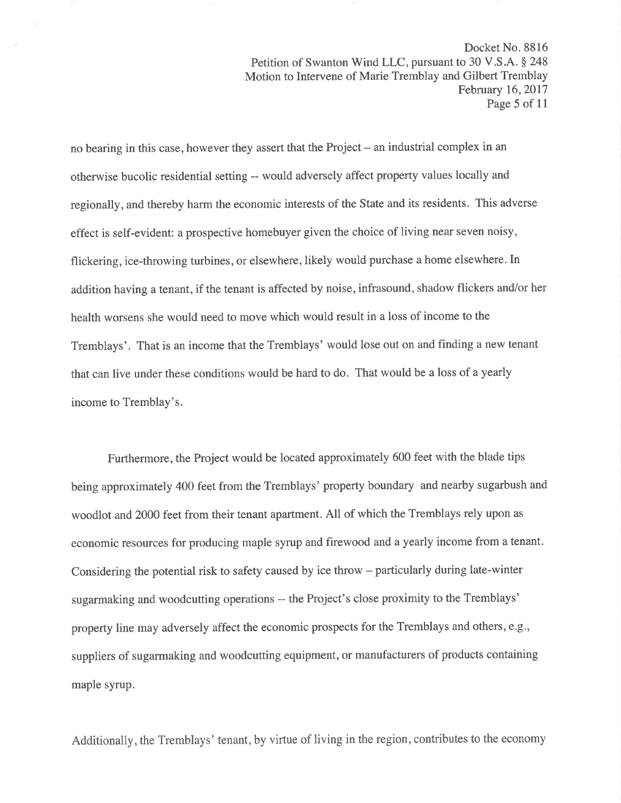Docket No. 8816 Petition of Swanton Wind LLC, pursuant to 30 V.S.A. \$ 248 Motion to Intervene of Marie Tremblay and Gilbert Tremblay February 16,2017 Page 5 of 11

no bearing in this case, however they assert that the Project – an industrial complex in an otherwise bucolic residential setting -- would adversely affect property values locally and regionally, and thereby harm the economic interests of the State and its residents. This adverse effect is self-evident: a prospective homebuyer given the choice of living near seven noisy, flickering, ice-throwing turbines, or elsewhere, likely would purchase a home elsewhere. In addition having a tenant, if the tenant is affected by noise, infrasound, shadow flickers and/or her health worsens she would need to move which would result in a loss of income to the Tremblays'. That is an income that the Tremblays' would lose out on and finding a new tenant that can live under these conditions would be hard to do. That would be a loss of a yearly income to Tremblay's.

Furthermore, the Project would be located approximately 600 feet with the blade tips being approximately 400 feet from the Tremblays' property boundary and nearby sugarbush and woodlot and 2000 feet from their tenant apartment. All of which the Tremblays rely upon as economic resources for producing maple syrup and firewood and a yearly income from a tenant. Considering the potential risk to safety caused by ice throw – particularly during late-winter sugarmaking and woodcutting operations -- the Project's close proximity to the Tremblays' property line may adversely affect the economic prospects for the Tremblays and others, e.g., suppliers of sugarmaking and woodcutting equipment, or manufacturers of products containing maple syrup.

Additionally, the Tremblays' tenant, by virtue of living in the region, contributes to the economy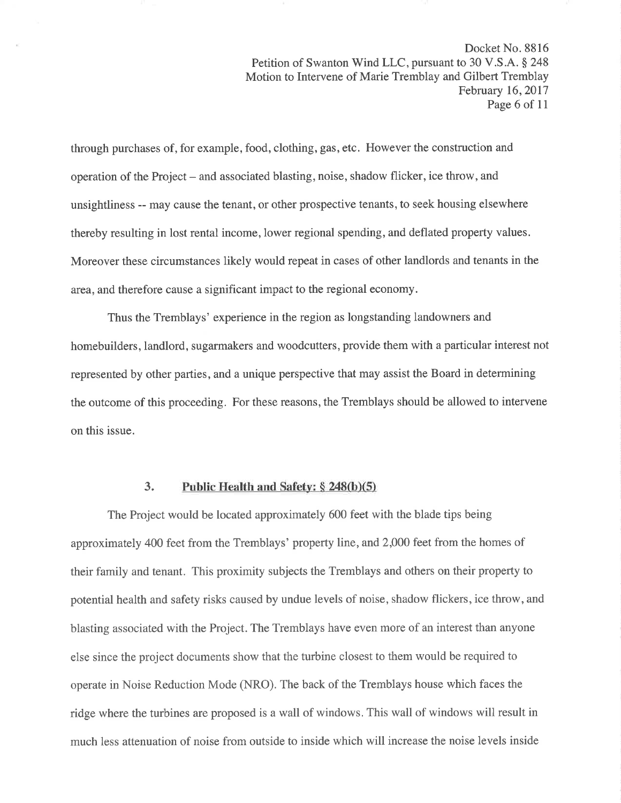Docket No. 8816 Petition of Swanton Wind LLC, pursuant to 30 V.S.A. § 248 Motion to Intervene of Marie Tremblay and Gilbert Tremblay February 16,2017 Page 6 of 11

through purchases of, for example, food, clothing, gas, etc. However the construction and operation of the Project – and associated blasting, noise, shadow flicker, ice throw, and unsightliness -- may cause the tenant, or other prospective tenants, to seek housing elsewhere thereby resulting in lost rental income, lower regional spending, and deflated property values. Moreover these circumstances likely would repeat in cases of other landlords and tenants in the area, and therefore cause a significant impact to the regional economy.

Thus the Tremblays' experience in the region as longstanding landowners and homebuilders, landlord, sugarmakers and woodcutters, provide them with a particular interest not represented by other parties, and a unique perspective that may assist the Board in determining the outcome of this proceeding. For these reasons, the Tremblays should be allowed to intervene on this issue.

## 3. Public Health and Safety:  $\S$  248(b)(5)

The Project would be located approximately 600 feet with the blade tips being approximately 400 feet from the Tremblays' property line, and 2,000 feet from the homes of their family and tenant. This proximity subjects the Tremblays and others on their property to potential health and safety risks caused by undue levels of noise, shadow flickers, ice throw, and blasting associated with the Project. The Tremblays have even more of an interest than anyone else since the project documents show that the turbine closest to them would be required to operate in Noise Reduction Mode (NRO). The back of the Tremblays house which faces the ridge where the turbines are proposed is a wall of windows. This wall of windows will result in much less attenuation of noise from outside to inside which will increase the noise levels inside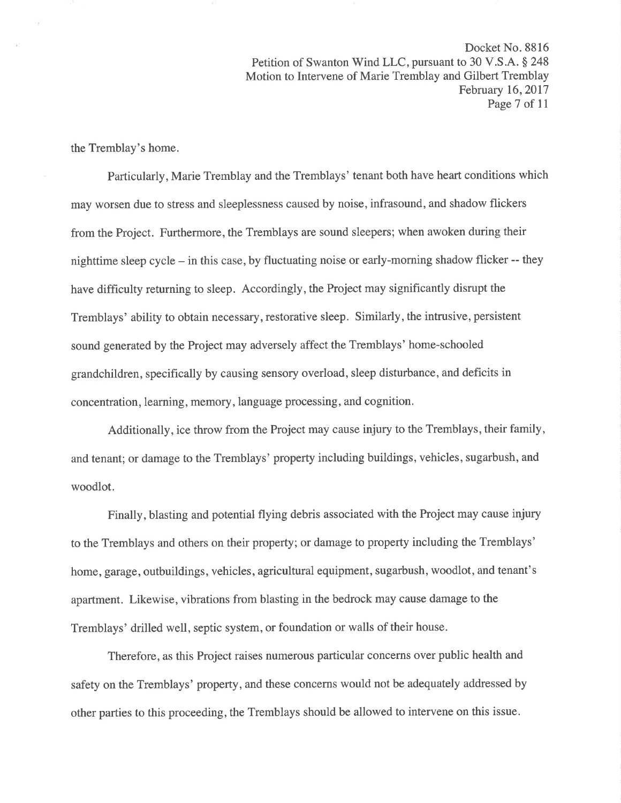Docket No. 8816 Petition of Swanton Wind LLC, pursuant to 30 V.S.A. § 248 Motion to Intervene of Marie Tremblay and Gilbert Tremblay February 16,2017 Page 7 of 11

the Tremblay's home.

Particularly, Marie Tremblay and the Tremblays' tenant both have heart conditions which may worsen due to stress and sleeplessness caused by noise, infrasound, and shadow flickers from the Project. Furthermore, the Tremblays are sound sleepers; when awoken during their nighttime sleep cycle - in this case, by fluctuating noise or early-morning shadow flicker -- they have difficulty returning to sleep. Accordingly, the Project may significantly disrupt the Tremblays' ability to obtain necessary, restorative sleep. Similarly, the intrusive, persistent sound generated by the Project may adversely affect the Tremblays' home-schooled grandchildren, specifically by causing sensory overload, sleep disturbance, and deficits in concentration, learning, memory, language processing, and cognition.

Additionally, ice throw from the Project may cause injury to the Tremblays, their family, and tenant; or damage to the Tremblays' property including buildings, vehicles, sugarbush, and woodlot.

Finally, blasting and potential flying debris associated with the Project may cause injury to the Tremblays and others on their property; or damage to property including the Tremblays' home, garage, outbuildings, vehicles, agricultural equipment, sugarbush, woodlot, and tenant's apartment. Likewise, vibrations from blasting in the bedrock may cause damage to the Tremblays' drilled well, septic system, or foundation or walls of their house.

Therefore, as this Project raises numerous particular concerns over public health and safety on the Tremblays' property, and these concerns would not be adequately addressed by other parties to this proceeding, the Tremblays should be allowed to intervene on this issue.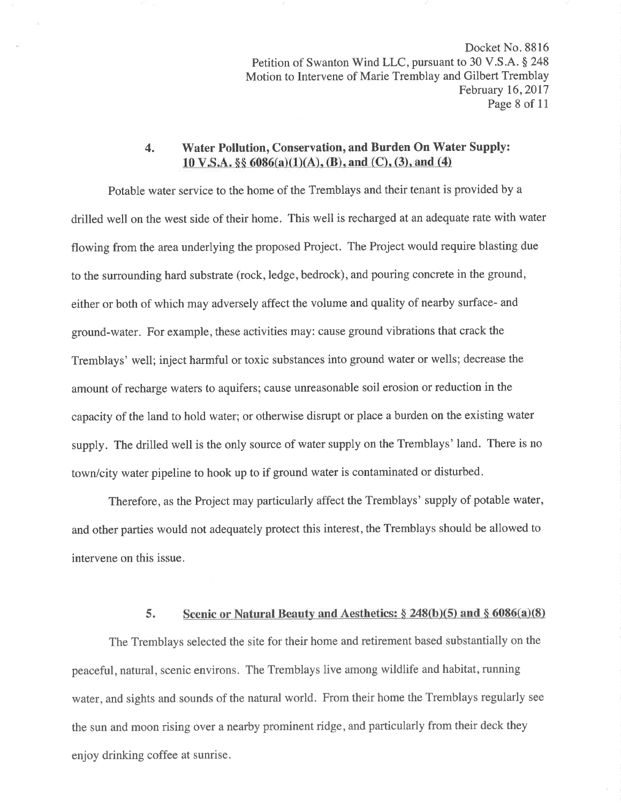Docket No. 8816 Petition of Swanton Wind LLC, pursuant to 30 V.S.A. § 248 Motion to Intervene of Marie Tremblay and Gilbert Tremblay February 16,2017 Page 8 of 11

## 4. Water Pollution, Conservation, and Burden On Water Supply:  $10 \text{ V.S.A. }$  §§  $6086(a)(1)(A)$ , (B), and (C), (3), and (4)

Potable water service to the home of the Tremblays and their tenant is provided by a drilled well on the west side of their home. This well is recharged at an adequate rate with water flowing from the area underlying the proposed Project. The Project would require blasting due to the surrounding hard substrate (rock, ledge, bedrock), and pouring concrete in the ground, either or both of which may adversely affect the volume and quality of nearby surface- and ground-water. For example, these activities may: cause ground vibrations that crack the Tremblays' well; inject harmful or toxic substances into ground water or wells; decrease the amount of recharge waters to aquifers; cause unreasonable soil erosion or reduction in the capacity of the land to hold water; or otherwise disrupt or place a burden on the existing water supply. The drilled well is the only source of water supply on the Tremblays' land. There is no town/city water pipeline to hook up to if ground water is contaminated or disturbed.

Therefore, as the Project may particularly affect the Tremblays' supply of potable water, and other parties would not adequately protect this interest, the Tremblays should be allowed to intervene on this issue.

#### 5. Scenic or Natural Beauty and Aesthetics:  $\S 248(b)(5)$  and  $\S 6086(a)(8)$

The Tremblays selected the site for their home and retirement based substantially on the peaceful, natural, scenic environs. The Tremblays live among wildlife and habitat, running water, and sights and sounds of the natural world. From their home the Tremblays regularly see the sun and moon rising over a nearby prominent ridge, and particularly from their deck they enjoy drinking coffee at sunrise.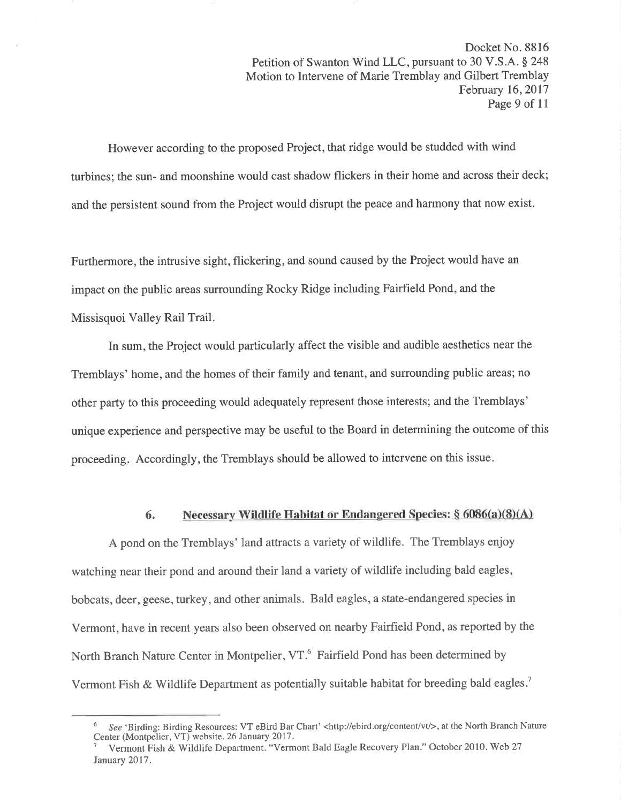Docket No. 8816 Petition of Swanton Wind LLC, pursuant to 30 V.S.A. § 248 Motion to Intervene of Marie Tremblay and Gilbert Tremblay February 16,2017 Page 9 of 11

However according to the proposed Project, that ridge would be studded with wind turbines; the sun- and moonshine would cast shadow flickers in their home and across their deck; and the persistent sound from the Project would disrupt the peace and harmony that now exist.

Furthermore, the intrusive sight, flickering, and sound caused by the Project would have an impact on the public areas sutrounding Rocky Ridge including Fairfield Pond, and the Missisquoi Valley Rail Trail.

In sum, the Project would particularly affect the visible and audible aesthetics near the Tremblays' home, and the homes of their family and tenant, and surrounding public areas; no other party to this proceeding would adequately represent those interests; and the Tremblays' unique experience and perspective may be useful to the Board in determining the outcome of this proceeding. Accordingly, the Tremblays should be allowed to intervene on this issue.

# 6. Necessary Wildlife Habitat or Endangered Species:  $\S$  6086(a)(8)(A)

A pond on the Tremblays' land attracts a variety of wildlife. The Tremblays enjoy watching near their pond and around their land a variety of wildlife including bald eagles, bobcats, deer, geese, turkey, and other animals. Bald eagles, a state-endangered species in Vermont, have in recent years also been observed on nearby Fairfield Pond, as reported by the North Branch Nature Center in Montpelier, VT.6 Fairfield Pond has been determined by Vermont Fish & Wildlife Department as potentially suitable habitat for breeding bald eagles.<sup>7</sup>

<sup>&</sup>lt;sup>6</sup> See 'Birding: Birding Resources: VT eBird Bar Chart' <http://ebird.org/content/vt/>, at the North Branch Nature Center (Montpelier, VT) website. 26 January 2017 .

Vermont Fish & Wildlife Department. "Vermont Bald Eagle Recovery Plan." October 2010. Web 27 January 2017.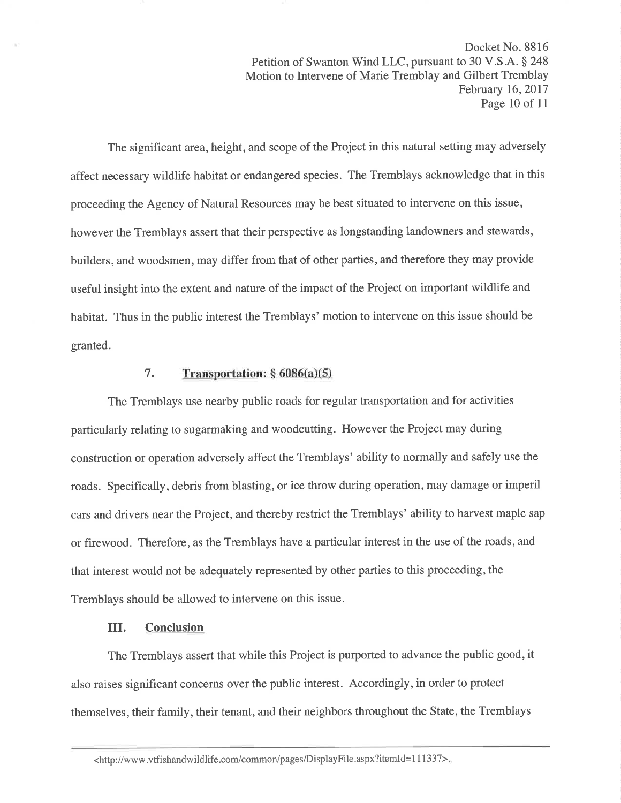Docket No. 8816 Petition of Swanton Wind LLC, pursuant to 30 V.S.A. § 248 Motion to Intervene of Marie Tremblay and Gilbert Tremblay February 16,2017 Page 10 of 11

The significant area, height, and scope of the Project in this natural setting may adversely affect necessary wildlife habitat or endangered species. The Tremblays acknowledge that in this proceeding the Agency of Natural Resources may be best situated to intervene on this issue, however the Tremblays assert that their perspective as longstanding landowners and stewards, builders, and woodsmen, may differ from that of other parties, and therefore they may provide useful insight into the extent and nature of the impact of the Project on important wildlife and habitat. Thus in the public interest the Tremblays' motion to intervene on this issue should be granted.

### 7. Transportation:  $§ 6086(a)(5)$

The Tremblays use nearby public roads for regular transportation and for activities particularly relating to sugarmaking and woodcutting. However the Project may during construction or operation adversely affect the Tremblays' ability to normally and safely use the roads. Specifically, debris from blasting, or ice throw during operation, may damage or imperil cars and drivers near the Project, and thereby restrict the Tremblays' ability to harvest maple sap or firewood. Therefore, as the Tremblays have a particular interest in the use of the roads, and that interest would not be adequately represented by other parties to this proceeding, the Tremblays should be allowed to intervene on this issue.

## III. Conclusion

The Tremblays assert that while this Project is purported to advance the public good, it also raises significant concerns over the public interest. Accordingly, in order to protect themselves, their family, their tenant, and their neighbors throughout the State, the Tremblays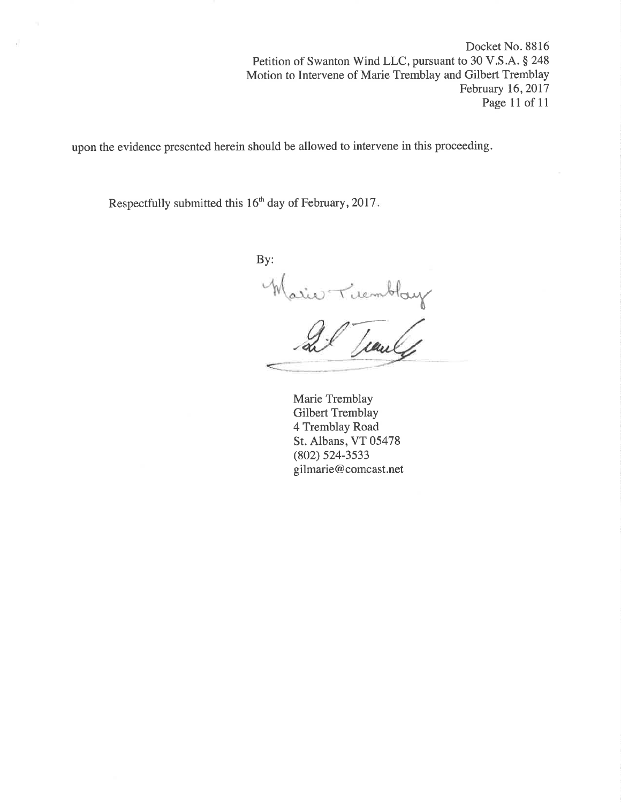Docket No. 8816 Petition of Swanton Wind LLC, pursuant to 30 V.S.A. § 248 Motion to Intervene of Marie Tremblay and Gilbert Tremblay February 16,2017 Page 11 of 11

upon the evidence presented herein should be allowed to intervene in this proceeding.

Respectfully submitted this 16<sup>th</sup> day of February, 2017.

By: Warie Tuembloy

Marie Tremblay Gilbert Tremblay 4 Tremblay Road St. Albans, VT 05478 (802) s24-3s33 gilmarie@comcast.net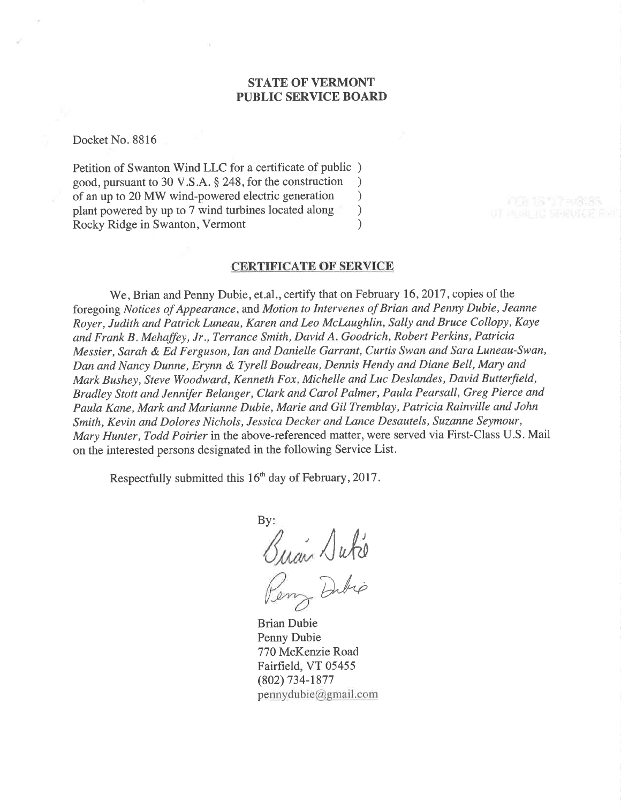## **STATE OF VERMONT** PUBLIC SERVICE BOARD

Docket No. 8816

Petition of Swanton Wind LLC for a certificate of public ) good, pursuant to 30 V.S.A. § 248, for the construction <br>of an up to 20 MW wind-powered electric generation  $\qquad$ of an up to 20 MW wind-powered electric generation<br>plant powered by up to 7 wind turbines located along plant powered by up to 7 wind turbines located along (a) Rocky Ridge in Swanton, Vermont (b) Rocky Ridge in Swanton, Vermont )

#### CERTIFICATE OF SERVICE

We, Brian and Penny Dubie, et.al., certify that on February 16, 2017, copies of the foregoing Notices of Appearance, and Motion to Intervenes of Brian and Penny Dubie, Jeanne Royer, Judith and Patrick Luneau, Karen and Leo McLaughlin, Sally and Bruce Collopy, Kaye and Frank B. Mehaffey, Jr., Terrance Smith, David A. Goodrich, Robert Perkins, Patricia Messier, Sarah & Ed Ferguson, Ian and Danielle Garrant, Curtis Swan and Sara Luneau-Swan, Dan and Nancy Dunne, Erynn & Tyrell Boudreau, Dennis Hendy and Diane Bell, Mary and Mark Bushey, Steve Woodward, Kenneth Fox, Michelle and Luc Deslandes, David Butterfield, Brudley Stott and Jennifer Belanger, Clark and Carol Palmer, Paula Pearsall, Greg Pierce and Paula Kane, Mark and Marianne Dubie, Marie and Gil Tremblay, Patricia Rainville and John Smith, Kevin and Dolores Nichols, Jessica Decker and Lance Desautels, Suzanne Seymour, Mary Hunter, Todd Poirier in the above-referenced matter, were served via First-Class U.S. Mail on the interested persons designated in the following Service List.

Respectfully submitted this 16'h day of February,2017.

By:  $\sqrt{u}$ 

Dubio Brian Dubie

Penny Dubie 770 McKenzie Road Fairfield, VT 05455 (802) 734-1877 pennydubie@gmail.com